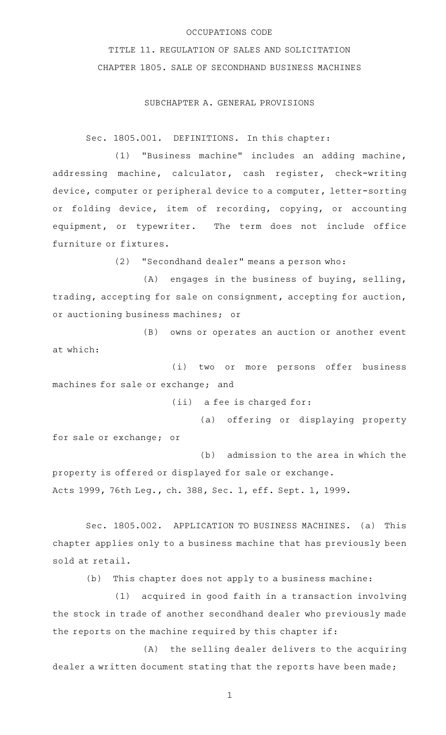## OCCUPATIONS CODE

TITLE 11. REGULATION OF SALES AND SOLICITATION CHAPTER 1805. SALE OF SECONDHAND BUSINESS MACHINES

SUBCHAPTER A. GENERAL PROVISIONS

Sec. 1805.001. DEFINITIONS. In this chapter:

(1) "Business machine" includes an adding machine, addressing machine, calculator, cash register, check-writing device, computer or peripheral device to a computer, letter-sorting or folding device, item of recording, copying, or accounting equipment, or typewriter. The term does not include office furniture or fixtures.

(2) "Secondhand dealer" means a person who:

 $(A)$  engages in the business of buying, selling, trading, accepting for sale on consignment, accepting for auction, or auctioning business machines; or

(B) owns or operates an auction or another event at which:

(i) two or more persons offer business machines for sale or exchange; and

 $(iii)$  a fee is charged for:

(a) offering or displaying property for sale or exchange; or

(b) admission to the area in which the property is offered or displayed for sale or exchange. Acts 1999, 76th Leg., ch. 388, Sec. 1, eff. Sept. 1, 1999.

Sec. 1805.002. APPLICATION TO BUSINESS MACHINES. (a) This chapter applies only to a business machine that has previously been sold at retail.

(b) This chapter does not apply to a business machine:

(1) acquired in good faith in a transaction involving the stock in trade of another secondhand dealer who previously made the reports on the machine required by this chapter if:

(A) the selling dealer delivers to the acquiring dealer a written document stating that the reports have been made;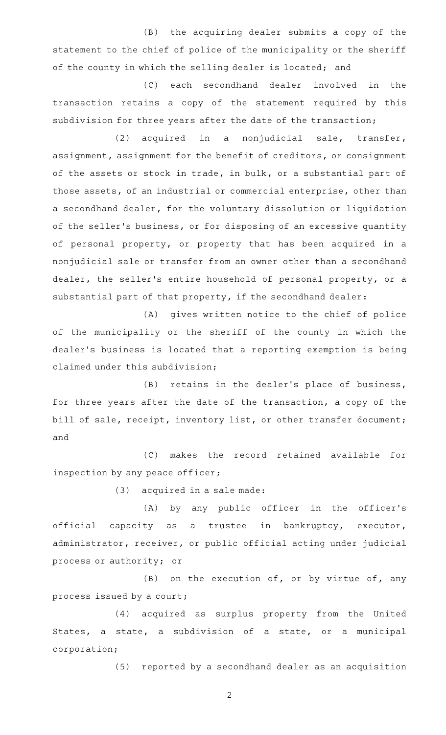(B) the acquiring dealer submits a copy of the statement to the chief of police of the municipality or the sheriff of the county in which the selling dealer is located; and

(C) each secondhand dealer involved in the transaction retains a copy of the statement required by this subdivision for three years after the date of the transaction;

(2) acquired in a nonjudicial sale, transfer, assignment, assignment for the benefit of creditors, or consignment of the assets or stock in trade, in bulk, or a substantial part of those assets, of an industrial or commercial enterprise, other than a secondhand dealer, for the voluntary dissolution or liquidation of the seller 's business, or for disposing of an excessive quantity of personal property, or property that has been acquired in a nonjudicial sale or transfer from an owner other than a secondhand dealer, the seller 's entire household of personal property, or a substantial part of that property, if the secondhand dealer:

(A) gives written notice to the chief of police of the municipality or the sheriff of the county in which the dealer 's business is located that a reporting exemption is being claimed under this subdivision;

(B) retains in the dealer's place of business, for three years after the date of the transaction, a copy of the bill of sale, receipt, inventory list, or other transfer document; and

(C) makes the record retained available for inspection by any peace officer;

 $(3)$  acquired in a sale made:

(A) by any public officer in the officer's official capacity as a trustee in bankruptcy, executor, administrator, receiver, or public official acting under judicial process or authority; or

 $(B)$  on the execution of, or by virtue of, any process issued by a court;

(4) acquired as surplus property from the United States, a state, a subdivision of a state, or a municipal corporation;

(5) reported by a secondhand dealer as an acquisition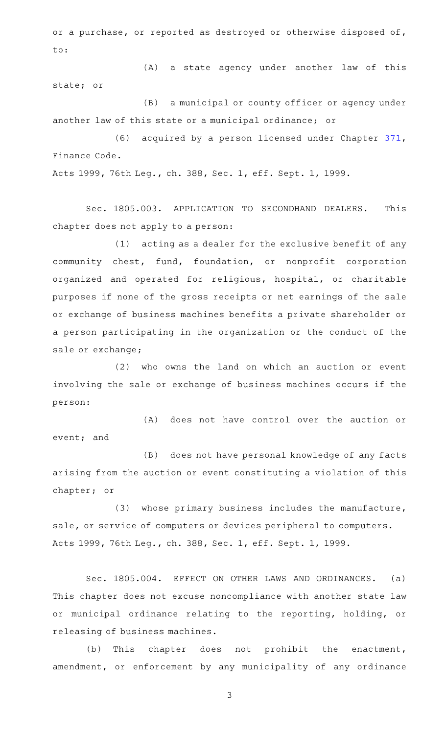or a purchase, or reported as destroyed or otherwise disposed of, to:

(A) a state agency under another law of this state; or

(B) a municipal or county officer or agency under another law of this state or a municipal ordinance; or

(6) acquired by a person licensed under Chapter [371](http://www.statutes.legis.state.tx.us/GetStatute.aspx?Code=FI&Value=371), Finance Code.

Acts 1999, 76th Leg., ch. 388, Sec. 1, eff. Sept. 1, 1999.

Sec. 1805.003. APPLICATION TO SECONDHAND DEALERS. This chapter does not apply to a person:

 $(1)$  acting as a dealer for the exclusive benefit of any community chest, fund, foundation, or nonprofit corporation organized and operated for religious, hospital, or charitable purposes if none of the gross receipts or net earnings of the sale or exchange of business machines benefits a private shareholder or a person participating in the organization or the conduct of the sale or exchange;

(2) who owns the land on which an auction or event involving the sale or exchange of business machines occurs if the person:

(A) does not have control over the auction or event; and

(B) does not have personal knowledge of any facts arising from the auction or event constituting a violation of this chapter; or

(3) whose primary business includes the manufacture, sale, or service of computers or devices peripheral to computers. Acts 1999, 76th Leg., ch. 388, Sec. 1, eff. Sept. 1, 1999.

Sec. 1805.004. EFFECT ON OTHER LAWS AND ORDINANCES. (a) This chapter does not excuse noncompliance with another state law or municipal ordinance relating to the reporting, holding, or releasing of business machines.

(b) This chapter does not prohibit the enactment, amendment, or enforcement by any municipality of any ordinance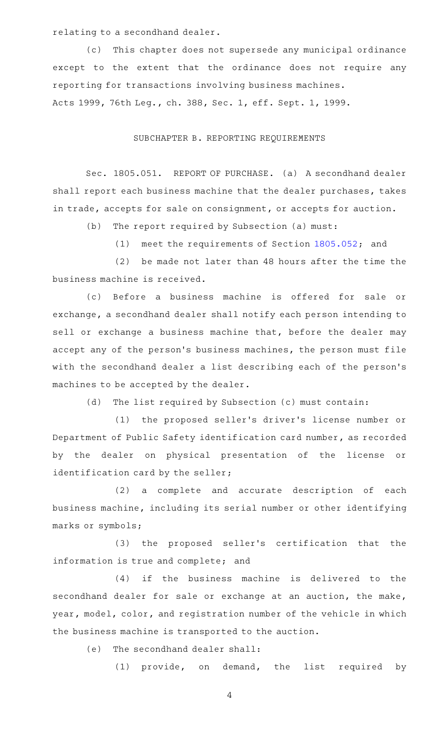relating to a secondhand dealer.

(c) This chapter does not supersede any municipal ordinance except to the extent that the ordinance does not require any reporting for transactions involving business machines. Acts 1999, 76th Leg., ch. 388, Sec. 1, eff. Sept. 1, 1999.

## SUBCHAPTER B. REPORTING REQUIREMENTS

Sec. 1805.051. REPORT OF PURCHASE. (a) A secondhand dealer shall report each business machine that the dealer purchases, takes in trade, accepts for sale on consignment, or accepts for auction.

(b) The report required by Subsection (a) must:

(1) meet the requirements of Section  $1805.052$ ; and

 $(2)$  be made not later than 48 hours after the time the business machine is received.

(c) Before a business machine is offered for sale or exchange, a secondhand dealer shall notify each person intending to sell or exchange a business machine that, before the dealer may accept any of the person's business machines, the person must file with the secondhand dealer a list describing each of the person 's machines to be accepted by the dealer.

(d) The list required by Subsection (c) must contain:

(1) the proposed seller's driver's license number or Department of Public Safety identification card number, as recorded by the dealer on physical presentation of the license or identification card by the seller;

(2) a complete and accurate description of each business machine, including its serial number or other identifying marks or symbols;

(3) the proposed seller's certification that the information is true and complete; and

(4) if the business machine is delivered to the secondhand dealer for sale or exchange at an auction, the make, year, model, color, and registration number of the vehicle in which the business machine is transported to the auction.

(e) The secondhand dealer shall:

(1)  $\notin$  provide, on demand, the list required by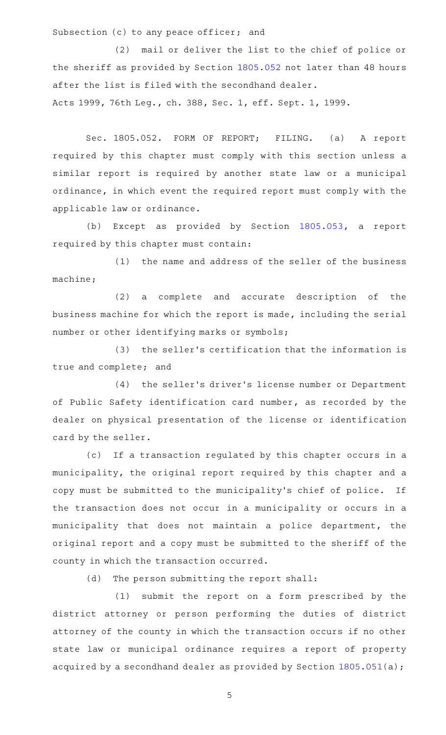Subsection (c) to any peace officer; and

(2) mail or deliver the list to the chief of police or the sheriff as provided by Section [1805.052](http://www.statutes.legis.state.tx.us/GetStatute.aspx?Code=OC&Value=1805.052) not later than 48 hours after the list is filed with the secondhand dealer. Acts 1999, 76th Leg., ch. 388, Sec. 1, eff. Sept. 1, 1999.

Sec. 1805.052. FORM OF REPORT; FILING. (a) A report required by this chapter must comply with this section unless a similar report is required by another state law or a municipal ordinance, in which event the required report must comply with the applicable law or ordinance.

(b) Except as provided by Section [1805.053,](http://www.statutes.legis.state.tx.us/GetStatute.aspx?Code=OC&Value=1805.053) a report required by this chapter must contain:

(1) the name and address of the seller of the business machine;

(2) a complete and accurate description of the business machine for which the report is made, including the serial number or other identifying marks or symbols;

(3) the seller's certification that the information is true and complete; and

(4) the seller's driver's license number or Department of Public Safety identification card number, as recorded by the dealer on physical presentation of the license or identification card by the seller.

(c) If a transaction regulated by this chapter occurs in a municipality, the original report required by this chapter and a copy must be submitted to the municipality 's chief of police. If the transaction does not occur in a municipality or occurs in a municipality that does not maintain a police department, the original report and a copy must be submitted to the sheriff of the county in which the transaction occurred.

(d) The person submitting the report shall:

(1) submit the report on a form prescribed by the district attorney or person performing the duties of district attorney of the county in which the transaction occurs if no other state law or municipal ordinance requires a report of property acquired by a secondhand dealer as provided by Section [1805.051\(](http://www.statutes.legis.state.tx.us/GetStatute.aspx?Code=OC&Value=1805.051)a);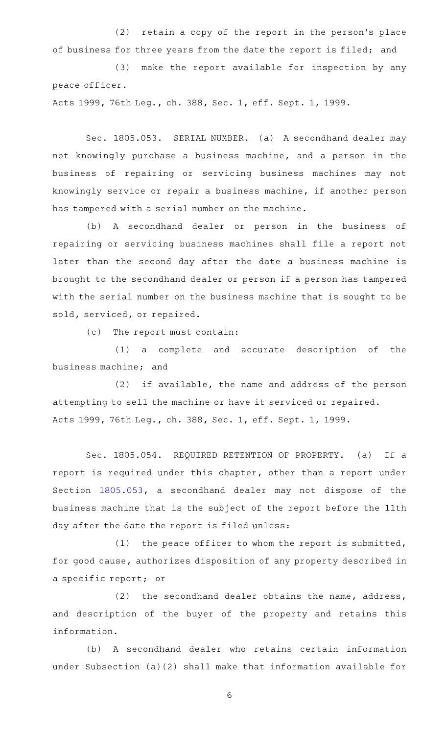(2) retain a copy of the report in the person's place of business for three years from the date the report is filed; and

(3) make the report available for inspection by any peace officer.

Acts 1999, 76th Leg., ch. 388, Sec. 1, eff. Sept. 1, 1999.

Sec. 1805.053. SERIAL NUMBER. (a) A secondhand dealer may not knowingly purchase a business machine, and a person in the business of repairing or servicing business machines may not knowingly service or repair a business machine, if another person has tampered with a serial number on the machine.

(b) A secondhand dealer or person in the business of repairing or servicing business machines shall file a report not later than the second day after the date a business machine is brought to the secondhand dealer or person if a person has tampered with the serial number on the business machine that is sought to be sold, serviced, or repaired.

(c) The report must contain:

(1) a complete and accurate description of the business machine; and

(2) if available, the name and address of the person attempting to sell the machine or have it serviced or repaired. Acts 1999, 76th Leg., ch. 388, Sec. 1, eff. Sept. 1, 1999.

Sec. 1805.054. REQUIRED RETENTION OF PROPERTY. (a) If a report is required under this chapter, other than a report under Section [1805.053](http://www.statutes.legis.state.tx.us/GetStatute.aspx?Code=OC&Value=1805.053), a secondhand dealer may not dispose of the business machine that is the subject of the report before the 11th day after the date the report is filed unless:

 $(1)$  the peace officer to whom the report is submitted, for good cause, authorizes disposition of any property described in a specific report; or

(2) the secondhand dealer obtains the name, address, and description of the buyer of the property and retains this information.

(b)AAA secondhand dealer who retains certain information under Subsection (a)(2) shall make that information available for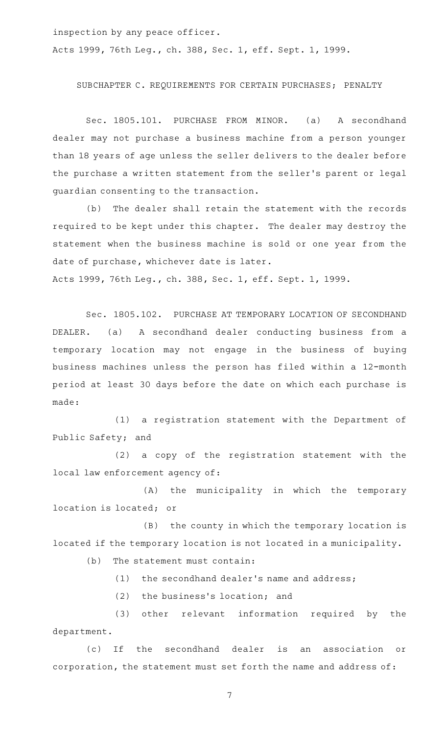inspection by any peace officer.

Acts 1999, 76th Leg., ch. 388, Sec. 1, eff. Sept. 1, 1999.

## SUBCHAPTER C. REQUIREMENTS FOR CERTAIN PURCHASES; PENALTY

Sec. 1805.101. PURCHASE FROM MINOR. (a) A secondhand dealer may not purchase a business machine from a person younger than 18 years of age unless the seller delivers to the dealer before the purchase a written statement from the seller 's parent or legal guardian consenting to the transaction.

(b) The dealer shall retain the statement with the records required to be kept under this chapter. The dealer may destroy the statement when the business machine is sold or one year from the date of purchase, whichever date is later. Acts 1999, 76th Leg., ch. 388, Sec. 1, eff. Sept. 1, 1999.

Sec. 1805.102. PURCHASE AT TEMPORARY LOCATION OF SECONDHAND DEALER. (a) A secondhand dealer conducting business from a temporary location may not engage in the business of buying business machines unless the person has filed within a 12-month period at least 30 days before the date on which each purchase is made:

(1) a registration statement with the Department of Public Safety; and

(2) a copy of the registration statement with the local law enforcement agency of:

(A) the municipality in which the temporary location is located; or

(B) the county in which the temporary location is located if the temporary location is not located in a municipality.

 $(b)$  The statement must contain:

(1) the secondhand dealer's name and address;

 $(2)$  the business's location; and

(3) other relevant information required by the department.

(c) If the secondhand dealer is an association or corporation, the statement must set forth the name and address of: